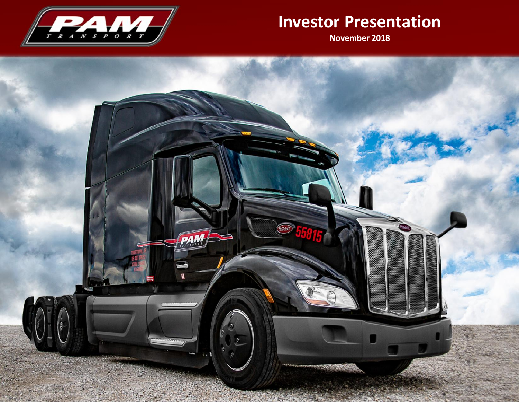

# **Investor Presentation**

**November 2018**

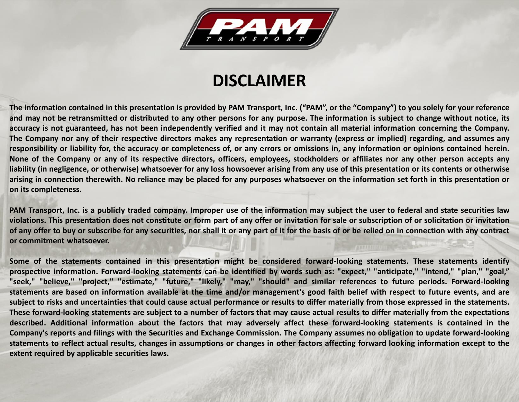

# **DISCLAIMER**

The information contained in this presentation is provided by PAM Transport, Inc. ("PAM", or the "Company") to you solely for your reference and may not be retransmitted or distributed to any other persons for any purpose. The information is subject to change without notice, its accuracy is not guaranteed, has not been independently verified and it may not contain all material information concerning the Company. The Company nor any of their respective directors makes any representation or warranty (express or implied) regarding, and assumes any responsibility or liability for, the accuracy or completeness of, or any errors or omissions in, any information or opinions contained herein. None of the Company or any of its respective directors, officers, employees, stockholders or affiliates nor any other person accepts any liability (in negligence, or otherwise) whatsoever for any loss howsoever arising from any use of this presentation or its contents or otherwise arising in connection therewith. No reliance may be placed for any purposes whatsoever on the information set forth in this presentation or **on its completeness.**

PAM Transport, Inc. is a publicly traded company. Improper use of the information may subject the user to federal and state securities law violations. This presentation does not constitute or form part of any offer or invitation for sale or subscription of or solicitation or invitation of any offer to buy or subscribe for any securities, nor shall it or any part of it for the basis of or be relied on in connection with any contract **or commitment whatsoever.**

Some of the statements contained in this presentation might be considered forward-looking statements. These statements identify prospective information. Forward-looking statements can be identified by words such as: "expect," "anticipate," "intend," "plan," "goal," "seek," "believe," "project," "estimate," "future," "likely," "may," "should" and similar references to future periods. Forward-looking statements are based on information available at the time and/or management's good faith belief with respect to future events, and are subject to risks and uncertainties that could cause actual performance or results to differ materially from those expressed in the statements. These forward-looking statements are subject to a number of factors that may cause actual results to differ materially from the expectations described. Additional information about the factors that may adversely affect these forward-looking statements is contained in the Company's reports and filings with the Securities and Exchange Commission. The Company assumes no obligation to update forward-looking statements to reflect actual results, changes in assumptions or changes in other factors affecting forward looking information except to the **extent required by applicable securities laws.**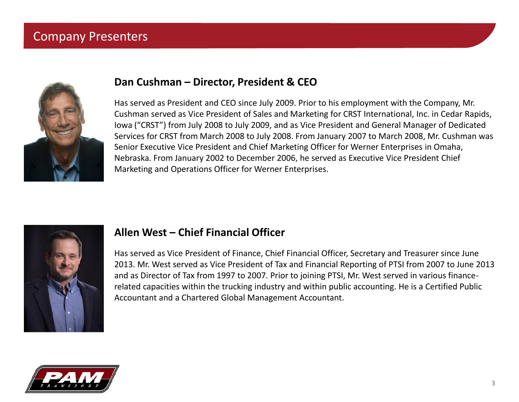### Company Presenters



#### **Dan Cushman – Director, President & CEO**

Has served as President and CEO since July 2009. Prior to his employment with the Company, Mr. Cushman served as Vice President of Sales and Marketing for CRST International, Inc. in Cedar Rapids, Iowa ("CRST") from July 2008 to July 2009, and as Vice President and General Manager of Dedicated Services for CRST from March 2008 to July 2008. From January 2007 to March 2008, Mr. Cushman was Senior Executive Vice President and Chief Marketing Officer for Werner Enterprises in Omaha, Nebraska. From January 2002 to December 2006, he served as Executive Vice President Chief Marketing and Operations Officer for Werner Enterprises.



#### **Allen West – Chief Financial Officer**

Has served as Vice President of Finance, Chief Financial Officer, Secretary and Treasurer since June 2013. Mr. West served as Vice President of Tax and Financial Reporting of PTSI from 2007 to June 2013 and as Director of Tax from 1997 to 2007. Prior to joining PTSI, Mr. West served in various finance related capacities within the trucking industry and within public accounting. He is a Certified Public Accountant and a Chartered Global Management Accountant.

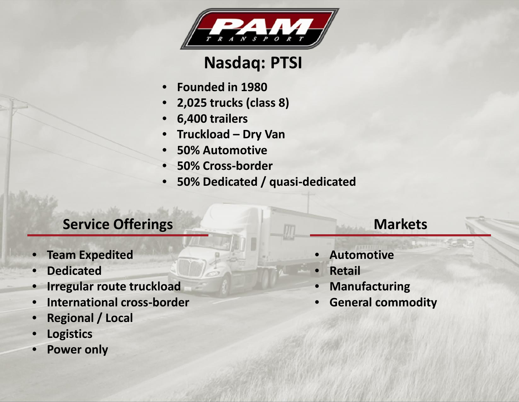

# **Nasdaq: PTSI**

- **Founded in 1980**
- **2,025 trucks (class 8)**
- **6,400 trailers**
- **Truckload – Dry Van**
- **50% Automotive**
- **50% Cross-border**
- **50% Dedicated / quasi-dedicated**

## **Service Offerings**

- **Team Expedited**
- **Dedicated**
- **Irregular route truckload**
- **International cross-border**
- **Regional / Local**
- **Logistics**
- **Power only**

## **Markets**

- **Automotive**
- **Retail**
- **Manufacturing**
- **General commodity**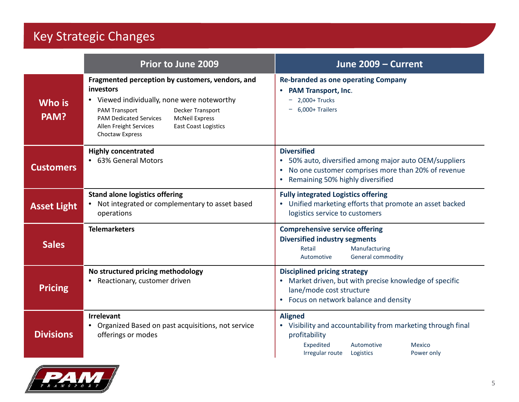## Key Strategic Changes

|                    | <b>Prior to June 2009</b>                                                                                                                                                                                                                                                                      | June 2009 - Current                                                                                                                                                                     |
|--------------------|------------------------------------------------------------------------------------------------------------------------------------------------------------------------------------------------------------------------------------------------------------------------------------------------|-----------------------------------------------------------------------------------------------------------------------------------------------------------------------------------------|
| Who is<br>PAM?     | Fragmented perception by customers, vendors, and<br>investors<br>• Viewed individually, none were noteworthy<br>Decker Transport<br><b>PAM Transport</b><br><b>PAM Dedicated Services</b><br><b>McNeil Express</b><br>Allen Freight Services<br><b>East Coast Logistics</b><br>Choctaw Express | <b>Re-branded as one operating Company</b><br><b>PAM Transport, Inc.</b><br>$-2,000+$ Trucks<br>6,000+ Trailers                                                                         |
| <b>Customers</b>   | <b>Highly concentrated</b><br>• 63% General Motors                                                                                                                                                                                                                                             | <b>Diversified</b><br>50% auto, diversified among major auto OEM/suppliers<br>$\bullet$<br>No one customer comprises more than 20% of revenue<br>Remaining 50% highly diversified       |
| <b>Asset Light</b> | <b>Stand alone logistics offering</b><br>Not integrated or complementary to asset based<br>operations                                                                                                                                                                                          | <b>Fully integrated Logistics offering</b><br>Unified marketing efforts that promote an asset backed<br>logistics service to customers                                                  |
| <b>Sales</b>       | <b>Telemarketers</b>                                                                                                                                                                                                                                                                           | <b>Comprehensive service offering</b><br><b>Diversified industry segments</b><br>Retail<br>Manufacturing<br>General commodity<br>Automotive                                             |
| <b>Pricing</b>     | No structured pricing methodology<br>Reactionary, customer driven                                                                                                                                                                                                                              | <b>Disciplined pricing strategy</b><br>Market driven, but with precise knowledge of specific<br>lane/mode cost structure<br>Focus on network balance and density                        |
| <b>Divisions</b>   | <b>Irrelevant</b><br>Organized Based on past acquisitions, not service<br>offerings or modes                                                                                                                                                                                                   | <b>Aligned</b><br>Visibility and accountability from marketing through final<br>profitability<br>Expedited<br>Automotive<br><b>Mexico</b><br>Irregular route<br>Logistics<br>Power only |

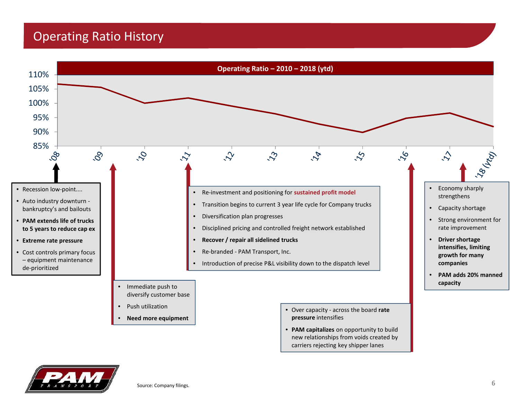## Operating Ratio History



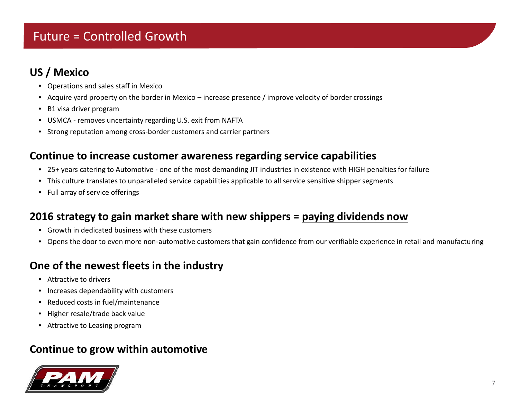## Future = Controlled Growth

#### **US / Mexico**

- Operations and sales staff in Mexico
- Acquire yard property on the border in Mexico increase presence / improve velocity of border crossings
- B1 visa driver program
- USMCA removes uncertainty regarding U.S. exit from NAFTA
- Strong reputation among cross-border customers and carrier partners

#### **Continue to increase customer awareness regarding service capabilities**

- 25+ years catering to Automotive one of the most demanding JIT industries in existence with HIGH penalties for failure
- This culture translates to unparalleled service capabilities applicable to all service sensitive shipper segments
- Full array of service offerings

#### **2016 strategy to gain market share with new shippers = paying dividends now**

- Growth in dedicated business with these customers
- Opens the door to even more non-automotive customers that gain confidence from our verifiable experience in retail and manufacturing

#### **One of the newest fleets in the industry**

- Attractive to drivers
- Increases dependability with customers
- Reduced costs in fuel/maintenance
- Higher resale/trade back value
- Attractive to Leasing program

#### **Continue to grow within automotive**

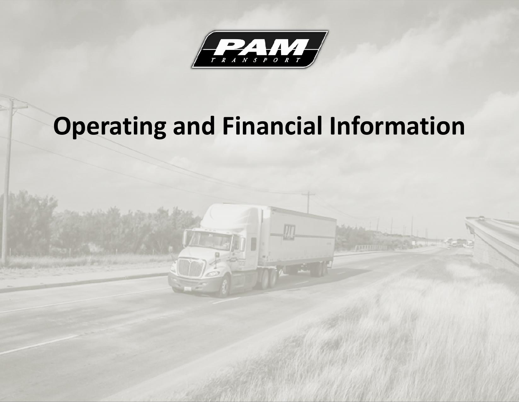

# **Operating and Financial Information**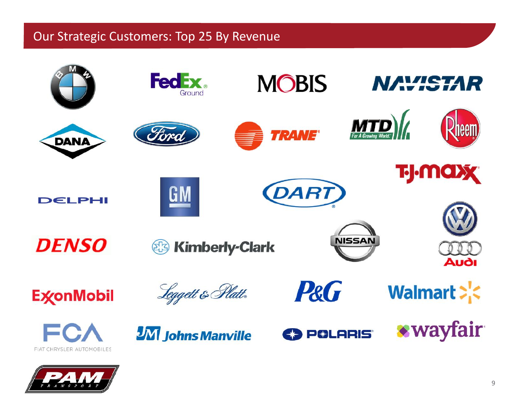## Our Strategic Customers: Top 25 By Revenue



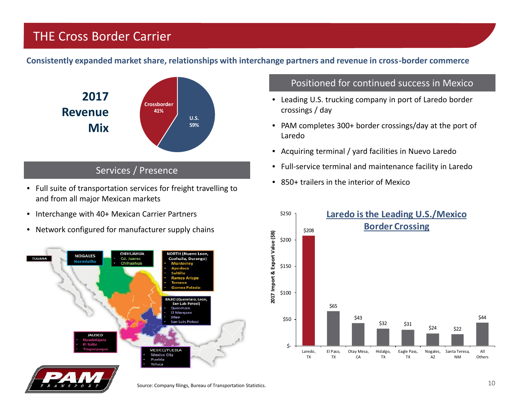## THE Cross Border Carrier

**Consistently expanded market share, relationships with interchange partners and revenue in cross-border commerce**



#### Services / Presence

- Full suite of transportation services for freight travelling to and from all major Mexican markets
- Interchange with 40+ Mexican Carrier Partners
- Network configured for manufacturer supply chains



#### Positioned for continued success in Mexico

- Leading U.S. trucking company in port of Laredo border crossings / day
- PAM completes 300+ border crossings/day at the port of Laredo
- Acquiring terminal / yard facilities in Nuevo Laredo
- Full-service terminal and maintenance facility in Laredo
- 850+ trailers in the interior of Mexico

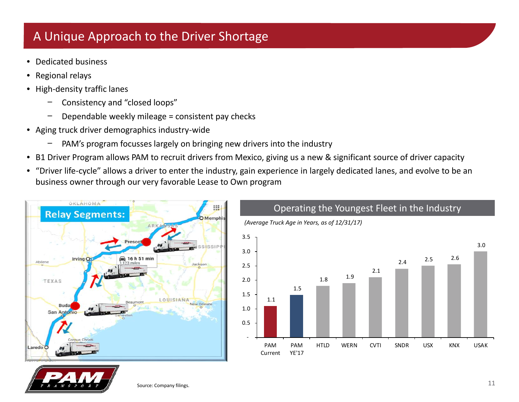## A Unique Approach to the Driver Shortage

- Dedicated business
- Regional relays
- High-density traffic lanes
	- − Consistency and "closed loops"
	- − Dependable weekly mileage = consistent pay checks
- Aging truck driver demographics industry-wide
	- PAM's program focusses largely on bringing new drivers into the industry
- B1 Driver Program allows PAM to recruit drivers from Mexico, giving us a new & significant source of driver capacity
- "Driver life-cycle" allows a driver to enter the industry, gain experience in largely dedicated lanes, and evolve to be an business owner through our very favorable Lease to Own program





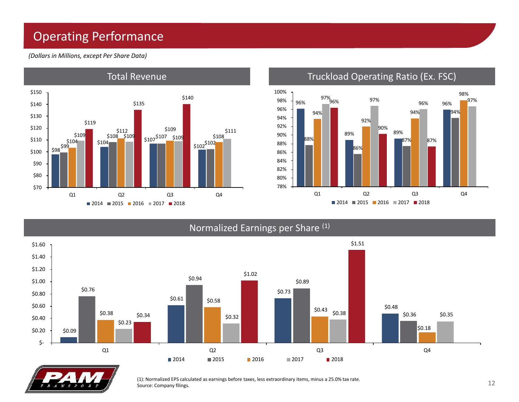## Operating Performance

*(Dollars in Millions, except Per Share Data)*



#### Total Revenue Truckload Operating Ratio (Ex. FSC)



#### Normalized Earnings per Share (1)





(1): Normalized EPS calculated as earnings before taxes, less extraordinary items, minus a 25.0% tax rate. Source: Company filings.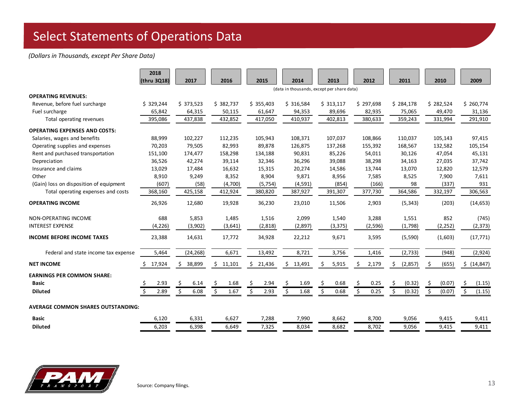## Select Statements of Operations Data

#### *(Dollars in Thousands, except Per Share Data)*

|                                           | 2018<br>(thru 3Q18) | 2017                                       | 2016         | 2015         | 2014        | 2013        | 2012        | 2011          | 2010          | 2009          |
|-------------------------------------------|---------------------|--------------------------------------------|--------------|--------------|-------------|-------------|-------------|---------------|---------------|---------------|
|                                           |                     | (data in thousands, except per share data) |              |              |             |             |             |               |               |               |
| <b>OPERATING REVENUES:</b>                |                     |                                            |              |              |             |             |             |               |               |               |
| Revenue, before fuel surcharge            | \$329,244           | \$373,523                                  | \$382,737    | \$355,403    | \$316,584   | \$313,117   | \$297,698   | \$284,178     | \$282,524     | \$260,774     |
| Fuel surcharge                            | 65,842              | 64,315                                     | 50,115       | 61,647       | 94,353      | 89,696      | 82,935      | 75,065        | 49,470        | 31,136        |
| Total operating revenues                  | 395,086             | 437,838                                    | 432,852      | 417,050      | 410,937     | 402,813     | 380,633     | 359,243       | 331,994       | 291,910       |
| <b>OPERATING EXPENSES AND COSTS:</b>      |                     |                                            |              |              |             |             |             |               |               |               |
| Salaries, wages and benefits              | 88,999              | 102,227                                    | 112,235      | 105,943      | 108,371     | 107,037     | 108,866     | 110,037       | 105,143       | 97,415        |
| Operating supplies and expenses           | 70,203              | 79,505                                     | 82,993       | 89,878       | 126,875     | 137,268     | 155,392     | 168,567       | 132,582       | 105,154       |
| Rent and purchased transportation         | 151,100             | 174,477                                    | 158,298      | 134,188      | 90,831      | 85,226      | 54,011      | 30,126        | 47,054        | 45,131        |
| Depreciation                              | 36,526              | 42,274                                     | 39,114       | 32,346       | 36,296      | 39,088      | 38,298      | 34,163        | 27,035        | 37,742        |
| Insurance and claims                      | 13,029              | 17,484                                     | 16,632       | 15,315       | 20,274      | 14,586      | 13,744      | 13,070        | 12,820        | 12,579        |
| Other                                     | 8,910               | 9,249                                      | 8,352        | 8,904        | 9,871       | 8,956       | 7,585       | 8,525         | 7,900         | 7,611         |
| (Gain) loss on disposition of equipment   | (607)               | (58)                                       | (4,700)      | (5, 754)     | (4,591)     | (854)       | (166)       | 98            | (337)         | 931           |
| Total operating expenses and costs        | 368,160             | 425,158                                    | 412,924      | 380,820      | 387,927     | 391,307     | 377,730     | 364,586       | 332,197       | 306,563       |
| <b>OPERATING INCOME</b>                   | 26,926              | 12,680                                     | 19,928       | 36,230       | 23,010      | 11,506      | 2,903       | (5, 343)      | (203)         | (14, 653)     |
| NON-OPERATING INCOME                      | 688                 | 5,853                                      | 1,485        | 1,516        | 2,099       | 1,540       | 3,288       | 1,551         | 852           | (745)         |
| <b>INTEREST EXPENSE</b>                   | (4, 226)            | (3,902)                                    | (3,641)      | (2,818)      | (2,897)     | (3, 375)    | (2,596)     | (1,798)       | (2, 252)      | (2, 373)      |
| <b>INCOME BEFORE INCOME TAXES</b>         | 23,388              | 14,631                                     | 17,772       | 34,928       | 22,212      | 9,671       | 3,595       | (5,590)       | (1,603)       | (17, 771)     |
| Federal and state income tax expense      | 5,464               | (24, 268)                                  | 6,671        | 13,492       | 8,721       | 3,756       | 1,416       | (2, 733)      | (948)         | (2,924)       |
| <b>NET INCOME</b>                         | 17,924              | 38,899<br>\$.                              | 11,101<br>S. | 21,436<br>\$ | 13,491<br>S | 5,915<br>\$ | 2,179<br>S  | (2,857)<br>S  | (655)<br>S.   | \$ (14, 847)  |
| <b>EARNINGS PER COMMON SHARE:</b>         |                     |                                            |              |              |             |             |             |               |               |               |
| <b>Basic</b>                              | 2.93                | \$.<br>6.14                                | \$.<br>1.68  | \$.<br>2.94  | 1.69        | \$,<br>0.68 | \$.<br>0.25 | (0.32)<br>\$. | (0.07)<br>\$. | -\$<br>(1.15) |
| <b>Diluted</b>                            | 2.89                | \$<br>6.08                                 | \$<br>1.67   | \$<br>2.93   | Ś.<br>1.68  | Ś.<br>0.68  | Ŝ.<br>0.25  | \$<br>(0.32)  | Ŝ.<br>(0.07)  | \$<br>(1.15)  |
| <b>AVERAGE COMMON SHARES OUTSTANDING:</b> |                     |                                            |              |              |             |             |             |               |               |               |
| <b>Basic</b>                              | 6,120               | 6,331                                      | 6,627        | 7,288        | 7,990       | 8,662       | 8,700       | 9,056         | 9,415         | 9,411         |
| <b>Diluted</b>                            | 6,203               | 6,398                                      | 6,649        | 7,325        | 8,034       | 8,682       | 8,702       | 9,056         | 9,415         | 9,411         |